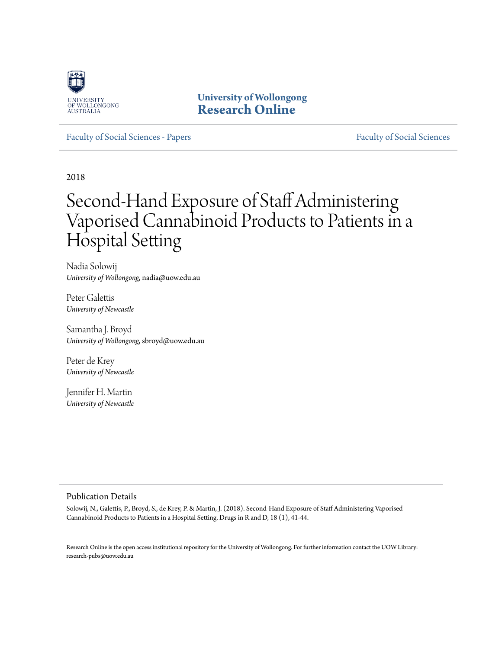

**University of Wollongong [Research Online](http://ro.uow.edu.au)**

[Faculty of Social Sciences - Papers](http://ro.uow.edu.au/sspapers) [Faculty of Social Sciences](http://ro.uow.edu.au/ss) - Papers Faculty of Social Sciences

2018

# Second-Hand Exposure of Staff Administering Vaporised Cannabinoid Products to Patients in a Hospital Setting

Nadia Solowij *University of Wollongong*, nadia@uow.edu.au

Peter Galettis *University of Newcastle*

Samantha J. Broyd *University of Wollongong*, sbroyd@uow.edu.au

Peter de Krey *University of Newcastle*

Jennifer H. Martin *University of Newcastle*

# Publication Details

Solowij, N., Galettis, P., Broyd, S., de Krey, P. & Martin, J. (2018). Second-Hand Exposure of Staff Administering Vaporised Cannabinoid Products to Patients in a Hospital Setting. Drugs in R and D, 18 (1), 41-44.

Research Online is the open access institutional repository for the University of Wollongong. For further information contact the UOW Library: research-pubs@uow.edu.au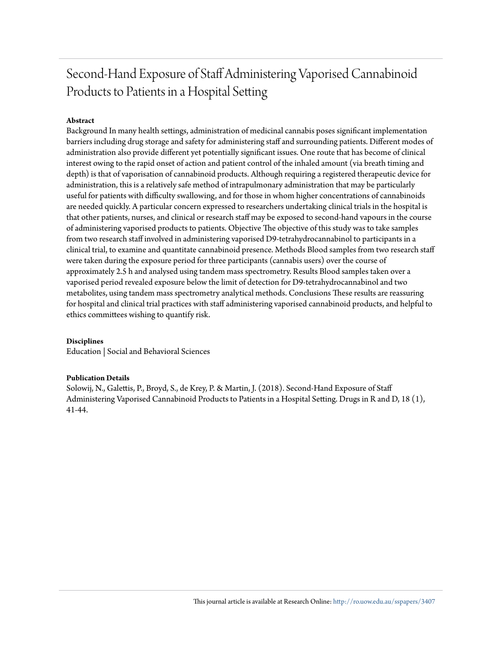# Second-Hand Exposure of Staff Administering Vaporised Cannabinoid Products to Patients in a Hospital Setting

# **Abstract**

Background In many health settings, administration of medicinal cannabis poses significant implementation barriers including drug storage and safety for administering staff and surrounding patients. Different modes of administration also provide different yet potentially significant issues. One route that has become of clinical interest owing to the rapid onset of action and patient control of the inhaled amount (via breath timing and depth) is that of vaporisation of cannabinoid products. Although requiring a registered therapeutic device for administration, this is a relatively safe method of intrapulmonary administration that may be particularly useful for patients with difficulty swallowing, and for those in whom higher concentrations of cannabinoids are needed quickly. A particular concern expressed to researchers undertaking clinical trials in the hospital is that other patients, nurses, and clinical or research staff may be exposed to second-hand vapours in the course of administering vaporised products to patients. Objective The objective of this study was to take samples from two research staff involved in administering vaporised D9-tetrahydrocannabinol to participants in a clinical trial, to examine and quantitate cannabinoid presence. Methods Blood samples from two research staff were taken during the exposure period for three participants (cannabis users) over the course of approximately 2.5 h and analysed using tandem mass spectrometry. Results Blood samples taken over a vaporised period revealed exposure below the limit of detection for D9-tetrahydrocannabinol and two metabolites, using tandem mass spectrometry analytical methods. Conclusions These results are reassuring for hospital and clinical trial practices with staff administering vaporised cannabinoid products, and helpful to ethics committees wishing to quantify risk.

# **Disciplines**

Education | Social and Behavioral Sciences

# **Publication Details**

Solowij, N., Galettis, P., Broyd, S., de Krey, P. & Martin, J. (2018). Second-Hand Exposure of Staff Administering Vaporised Cannabinoid Products to Patients in a Hospital Setting. Drugs in R and D, 18 (1), 41-44.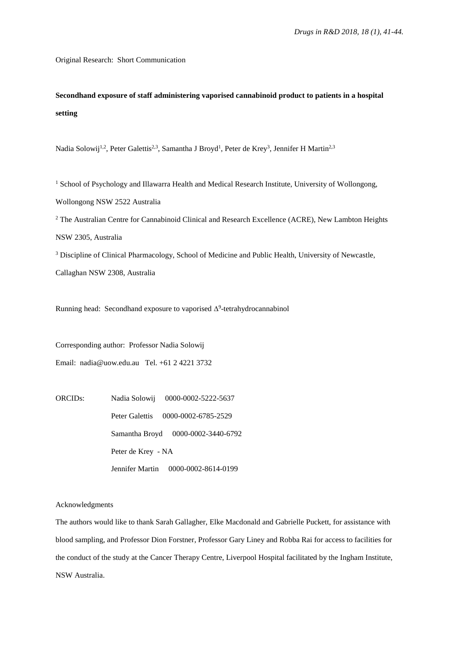Original Research: Short Communication

**Secondhand exposure of staff administering vaporised cannabinoid product to patients in a hospital setting**

Nadia Solowij<sup>1,2</sup>, Peter Galettis<sup>2,3</sup>, Samantha J Broyd<sup>1</sup>, Peter de Krey<sup>3</sup>, Jennifer H Martin<sup>2,3</sup>

<sup>1</sup> School of Psychology and Illawarra Health and Medical Research Institute, University of Wollongong, Wollongong NSW 2522 Australia

<sup>2</sup> The Australian Centre for Cannabinoid Clinical and Research Excellence (ACRE), New Lambton Heights NSW 2305, Australia

<sup>3</sup> Discipline of Clinical Pharmacology, School of Medicine and Public Health, University of Newcastle,

Callaghan NSW 2308, Australia

Running head: Secondhand exposure to vaporised  $\Delta^9$ -tetrahydrocannabinol

Corresponding author: Professor Nadia Solowij Email: [nadia@uow.edu.au](mailto:nadia@uow.edu.au) Tel. +61 2 4221 3732

ORCIDs: Nadia Solowij 0000-0002-5222-5637 Peter Galettis 0000-0002-6785-2529 Samantha Broyd 0000-0002-3440-6792 Peter de Krey - NA Jennifer Martin 0000-0002-8614-0199

Acknowledgments

The authors would like to thank Sarah Gallagher, Elke Macdonald and Gabrielle Puckett, for assistance with blood sampling, and Professor Dion Forstner, Professor Gary Liney and Robba Rai for access to facilities for the conduct of the study at the Cancer Therapy Centre, Liverpool Hospital facilitated by the Ingham Institute, NSW Australia.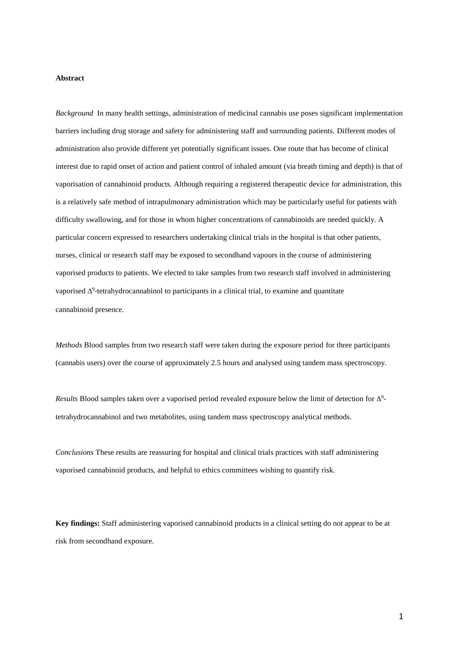#### **Abstract**

*Background* In many health settings, administration of medicinal cannabis use poses significant implementation barriers including drug storage and safety for administering staff and surrounding patients. Different modes of administration also provide different yet potentially significant issues. One route that has become of clinical interest due to rapid onset of action and patient control of inhaled amount (via breath timing and depth) is that of vaporisation of cannabinoid products. Although requiring a registered therapeutic device for administration, this is a relatively safe method of intrapulmonary administration which may be particularly useful for patients with difficulty swallowing, and for those in whom higher concentrations of cannabinoids are needed quickly. A particular concern expressed to researchers undertaking clinical trials in the hospital is that other patients, nurses, clinical or research staff may be exposed to secondhand vapours in the course of administering vaporised products to patients. We elected to take samples from two research staff involved in administering vaporised  $\Delta^9$ -tetrahydrocannabinol to participants in a clinical trial, to examine and quantitate cannabinoid presence.

*Methods* Blood samples from two research staff were taken during the exposure period for three participants (cannabis users) over the course of approximately 2.5 hours and analysed using tandem mass spectroscopy.

*Results* Blood samples taken over a vaporised period revealed exposure below the limit of detection for  $\Delta^9$ tetrahydrocannabinol and two metabolites, using tandem mass spectroscopy analytical methods.

*Conclusions* These results are reassuring for hospital and clinical trials practices with staff administering vaporised cannabinoid products, and helpful to ethics committees wishing to quantify risk.

**Key findings:** Staff administering vaporised cannabinoid products in a clinical setting do not appear to be at risk from secondhand exposure.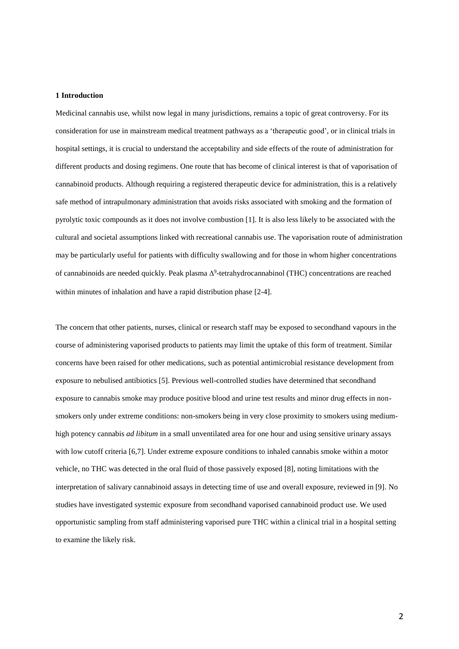#### **1 Introduction**

Medicinal cannabis use, whilst now legal in many jurisdictions, remains a topic of great controversy. For its consideration for use in mainstream medical treatment pathways as a 'therapeutic good', or in clinical trials in hospital settings, it is crucial to understand the acceptability and side effects of the route of administration for different products and dosing regimens. One route that has become of clinical interest is that of vaporisation of cannabinoid products. Although requiring a registered therapeutic device for administration, this is a relatively safe method of intrapulmonary administration that avoids risks associated with smoking and the formation of pyrolytic toxic compounds as it does not involve combustion [1]. It is also less likely to be associated with the cultural and societal assumptions linked with recreational cannabis use. The vaporisation route of administration may be particularly useful for patients with difficulty swallowing and for those in whom higher concentrations of cannabinoids are needed quickly. Peak plasma  $\Delta^9$ -tetrahydrocannabinol (THC) concentrations are reached within minutes of inhalation and have a rapid distribution phase [2-4].

The concern that other patients, nurses, clinical or research staff may be exposed to secondhand vapours in the course of administering vaporised products to patients may limit the uptake of this form of treatment. Similar concerns have been raised for other medications, such as potential antimicrobial resistance development from exposure to nebulised antibiotics [5]. Previous well-controlled studies have determined that secondhand exposure to cannabis smoke may produce positive blood and urine test results and minor drug effects in nonsmokers only under extreme conditions: non-smokers being in very close proximity to smokers using mediumhigh potency cannabis *ad libitum* in a small unventilated area for one hour and using sensitive urinary assays with low cutoff criteria [6,7]. Under extreme exposure conditions to inhaled cannabis smoke within a motor vehicle, no THC was detected in the oral fluid of those passively exposed [8], noting limitations with the interpretation of salivary cannabinoid assays in detecting time of use and overall exposure, reviewed in [9]. No studies have investigated systemic exposure from secondhand vaporised cannabinoid product use. We used opportunistic sampling from staff administering vaporised pure THC within a clinical trial in a hospital setting to examine the likely risk.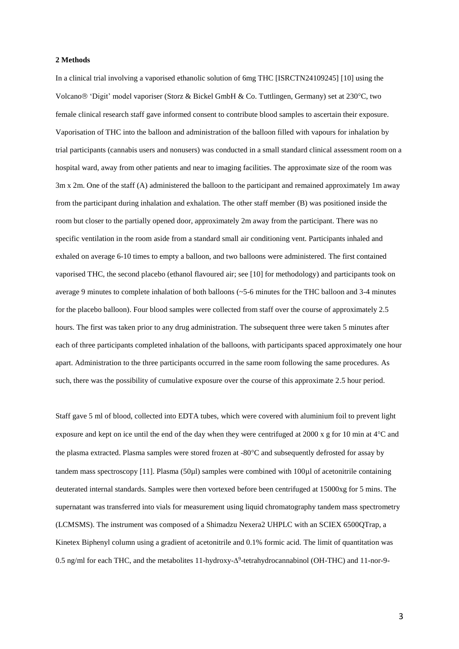#### **2 Methods**

In a clinical trial involving a vaporised ethanolic solution of 6mg THC [ISRCTN24109245] [10] using the Volcano® 'Digit' model vaporiser (Storz & Bickel GmbH & Co. Tuttlingen, Germany) set at 230°C, two female clinical research staff gave informed consent to contribute blood samples to ascertain their exposure. Vaporisation of THC into the balloon and administration of the balloon filled with vapours for inhalation by trial participants (cannabis users and nonusers) was conducted in a small standard clinical assessment room on a hospital ward, away from other patients and near to imaging facilities. The approximate size of the room was 3m x 2m. One of the staff (A) administered the balloon to the participant and remained approximately 1m away from the participant during inhalation and exhalation. The other staff member (B) was positioned inside the room but closer to the partially opened door, approximately 2m away from the participant. There was no specific ventilation in the room aside from a standard small air conditioning vent. Participants inhaled and exhaled on average 6-10 times to empty a balloon, and two balloons were administered. The first contained vaporised THC, the second placebo (ethanol flavoured air; see [10] for methodology) and participants took on average 9 minutes to complete inhalation of both balloons (~5-6 minutes for the THC balloon and 3-4 minutes for the placebo balloon). Four blood samples were collected from staff over the course of approximately 2.5 hours. The first was taken prior to any drug administration. The subsequent three were taken 5 minutes after each of three participants completed inhalation of the balloons, with participants spaced approximately one hour apart. Administration to the three participants occurred in the same room following the same procedures. As such, there was the possibility of cumulative exposure over the course of this approximate 2.5 hour period.

Staff gave 5 ml of blood, collected into EDTA tubes, which were covered with aluminium foil to prevent light exposure and kept on ice until the end of the day when they were centrifuged at 2000 x g for 10 min at 4<sup>o</sup>C and the plasma extracted. Plasma samples were stored frozen at  $-80^{\circ}$ C and subsequently defrosted for assay by tandem mass spectroscopy [11]. Plasma (50µl) samples were combined with 100µl of acetonitrile containing deuterated internal standards. Samples were then vortexed before been centrifuged at 15000xg for 5 mins. The supernatant was transferred into vials for measurement using liquid chromatography tandem mass spectrometry (LCMSMS). The instrument was composed of a Shimadzu Nexera2 UHPLC with an SCIEX 6500QTrap, a Kinetex Biphenyl column using a gradient of acetonitrile and 0.1% formic acid. The limit of quantitation was 0.5 ng/ml for each THC, and the metabolites 11-hydroxy- 9 -tetrahydrocannabinol (OH-THC) and 11-nor-9-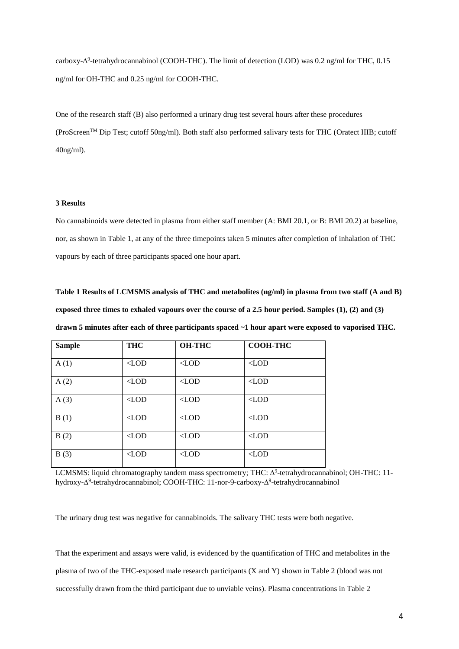carboxy- 9 -tetrahydrocannabinol (COOH-THC). The limit of detection (LOD) was 0.2 ng/ml for THC, 0.15 ng/ml for OH-THC and 0.25 ng/ml for COOH-THC.

One of the research staff (B) also performed a urinary drug test several hours after these procedures (ProScreenTM Dip Test; cutoff 50ng/ml). Both staff also performed salivary tests for THC (Oratect IIIB; cutoff 40ng/ml).

#### **3 Results**

No cannabinoids were detected in plasma from either staff member (A: BMI 20.1, or B: BMI 20.2) at baseline, nor, as shown in Table 1, at any of the three timepoints taken 5 minutes after completion of inhalation of THC vapours by each of three participants spaced one hour apart.

**Table 1 Results of LCMSMS analysis of THC and metabolites (ng/ml) in plasma from two staff (A and B) exposed three times to exhaled vapours over the course of a 2.5 hour period. Samples (1), (2) and (3) drawn 5 minutes after each of three participants spaced ~1 hour apart were exposed to vaporised THC.**

| <b>Sample</b> | <b>THC</b>    | <b>OH-THC</b> | <b>COOH-THC</b> |
|---------------|---------------|---------------|-----------------|
|               |               |               |                 |
| A(1)          | $\langle$ LOD | $\langle$ LOD | $<$ LOD         |
| A(2)          | $\langle$ LOD | $\langle$ LOD | $<$ LOD         |
| A(3)          | $\langle$ LOD | $\langle$ LOD | $\langle$ LOD   |
| B(1)          | $\langle$ LOD | $<$ LOD       | $\langle$ LOD   |
| B(2)          | $\langle$ LOD | $\langle$ LOD | $\langle$ LOD   |
| B(3)          | $\langle$ LOD | $\langle$ LOD | $\langle$ LOD   |

LCMSMS: liquid chromatography tandem mass spectrometry; THC:  $\Delta^9$ -tetrahydrocannabinol; OH-THC: 11hydroxy-∆<sup>9</sup>-tetrahydrocannabinol; COOH-THC: 11-nor-9-carboxy-∆<sup>9</sup>-tetrahydrocannabinol

The urinary drug test was negative for cannabinoids. The salivary THC tests were both negative.

That the experiment and assays were valid, is evidenced by the quantification of THC and metabolites in the plasma of two of the THC-exposed male research participants (X and Y) shown in Table 2 (blood was not successfully drawn from the third participant due to unviable veins). Plasma concentrations in Table 2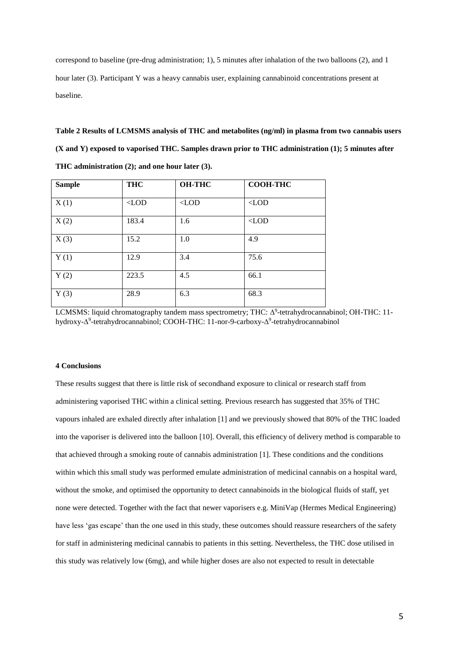correspond to baseline (pre-drug administration; 1), 5 minutes after inhalation of the two balloons (2), and 1 hour later (3). Participant Y was a heavy cannabis user, explaining cannabinoid concentrations present at baseline.

**Table 2 Results of LCMSMS analysis of THC and metabolites (ng/ml) in plasma from two cannabis users (X and Y) exposed to vaporised THC. Samples drawn prior to THC administration (1); 5 minutes after THC administration (2); and one hour later (3).**

| <b>Sample</b> | <b>THC</b>    | <b>OH-THC</b> | <b>COOH-THC</b> |
|---------------|---------------|---------------|-----------------|
| X(1)          | $\langle$ LOD | $\langle$ LOD | $\langle$ LOD   |
| X(2)          | 183.4         | 1.6           | $<$ LOD         |
| X(3)          | 15.2          | 1.0           | 4.9             |
| Y(1)          | 12.9          | 3.4           | 75.6            |
| Y(2)          | 223.5         | 4.5           | 66.1            |
| Y(3)          | 28.9          | 6.3           | 68.3            |

LCMSMS: liquid chromatography tandem mass spectrometry; THC:  $\Delta^9$ -tetrahydrocannabinol; OH-THC: 11hydroxy-Δ<sup>9</sup>-tetrahydrocannabinol; COOH-THC: 11-nor-9-carboxy-Δ<sup>9</sup>-tetrahydrocannabinol

### **4 Conclusions**

These results suggest that there is little risk of secondhand exposure to clinical or research staff from administering vaporised THC within a clinical setting. Previous research has suggested that 35% of THC vapours inhaled are exhaled directly after inhalation [1] and we previously showed that 80% of the THC loaded into the vaporiser is delivered into the balloon [10]. Overall, this efficiency of delivery method is comparable to that achieved through a smoking route of cannabis administration [1]. These conditions and the conditions within which this small study was performed emulate administration of medicinal cannabis on a hospital ward, without the smoke, and optimised the opportunity to detect cannabinoids in the biological fluids of staff, yet none were detected. Together with the fact that newer vaporisers e.g. MiniVap (Hermes Medical Engineering) have less 'gas escape' than the one used in this study, these outcomes should reassure researchers of the safety for staff in administering medicinal cannabis to patients in this setting. Nevertheless, the THC dose utilised in this study was relatively low (6mg), and while higher doses are also not expected to result in detectable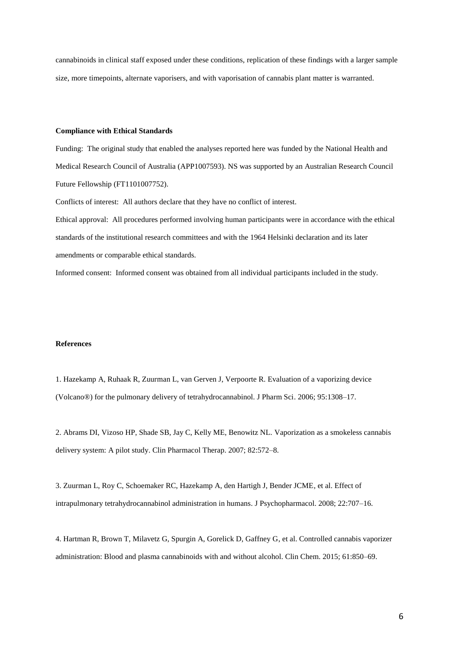cannabinoids in clinical staff exposed under these conditions, replication of these findings with a larger sample size, more timepoints, alternate vaporisers, and with vaporisation of cannabis plant matter is warranted.

#### **Compliance with Ethical Standards**

Funding: The original study that enabled the analyses reported here was funded by the National Health and Medical Research Council of Australia (APP1007593). NS was supported by an Australian Research Council Future Fellowship (FT1101007752).

Conflicts of interest: All authors declare that they have no conflict of interest.

Ethical approval: All procedures performed involving human participants were in accordance with the ethical standards of the institutional research committees and with the 1964 Helsinki declaration and its later amendments or comparable ethical standards.

Informed consent: Informed consent was obtained from all individual participants included in the study.

#### **References**

1. Hazekamp A, Ruhaak R, Zuurman L, van Gerven J, Verpoorte R. Evaluation of a vaporizing device (Volcano®) for the pulmonary delivery of tetrahydrocannabinol. J Pharm Sci. 2006; 95:1308–17.

2. Abrams DI, Vizoso HP, Shade SB, Jay C, Kelly ME, Benowitz NL. Vaporization as a smokeless cannabis delivery system: A pilot study. Clin Pharmacol Therap. 2007; 82:572–8.

3. Zuurman L, Roy C, Schoemaker RC, Hazekamp A, den Hartigh J, Bender JCME, et al. Effect of intrapulmonary tetrahydrocannabinol administration in humans. J Psychopharmacol. 2008; 22:707–16.

4. Hartman R, Brown T, Milavetz G, Spurgin A, Gorelick D, Gaffney G, et al. Controlled cannabis vaporizer administration: Blood and plasma cannabinoids with and without alcohol. Clin Chem. 2015; 61:850–69.